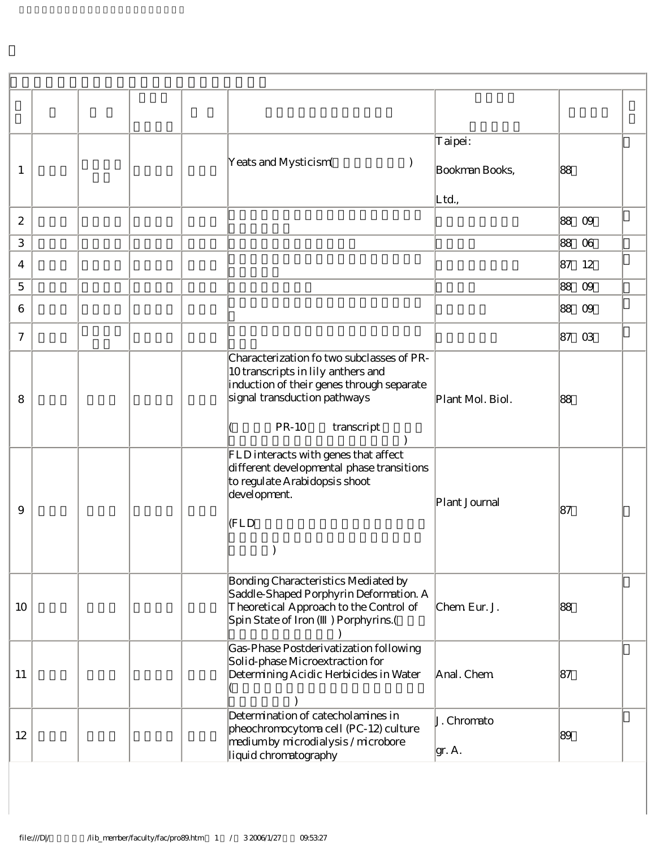| -1               | Yeats and Mysticism(                                                                                                                                                                       | Taipei:<br>Bookman Books,<br>Ltd., | 88             |
|------------------|--------------------------------------------------------------------------------------------------------------------------------------------------------------------------------------------|------------------------------------|----------------|
| $\boldsymbol{2}$ |                                                                                                                                                                                            |                                    | 88<br>09       |
| $\,3$            |                                                                                                                                                                                            |                                    | 88<br>06       |
| 4                |                                                                                                                                                                                            |                                    | 87<br>12       |
| $\mathbf 5$      |                                                                                                                                                                                            |                                    | 88<br>09       |
| 6                |                                                                                                                                                                                            |                                    | 88 09          |
| $\boldsymbol{7}$ |                                                                                                                                                                                            |                                    | 87<br>$\Omega$ |
| 8                | Characterization fo two subclasses of PR-<br>10 transcripts in lily anthers and<br>induction of their genes through separate<br>signal transduction pathways<br><b>PR-10</b><br>transcript | Plant Mol. Biol.                   | 88             |
| 9                | FLD interacts with genes that affect<br>different developmental phase transitions<br>to regulate Arabidopsis shoot<br>development.<br>$ $ (FLD                                             | Plant Journal                      | 87             |
| 10               | Bonding Characteristics Mediated by<br>Saddle-Shaped Porphyrin Deformation. A<br>Theoretical Approach to the Control of<br>Spin State of Iron () Porphyrins. (                             | Chem Eur. J.                       | 88             |
| 11               | Gas-Phase Postderivatization following<br>Solid-phase Microextraction for<br>Determining Acidic Herbicides in Water                                                                        | Anal. Chem                         | 87             |
| 12               | Determination of catecholamines in<br>pheochromocytoma cell (PC-12) culture<br>medium by microdialysis / microbore<br>liquid chromatography                                                | J. Chromato<br>gr. A.              | 89             |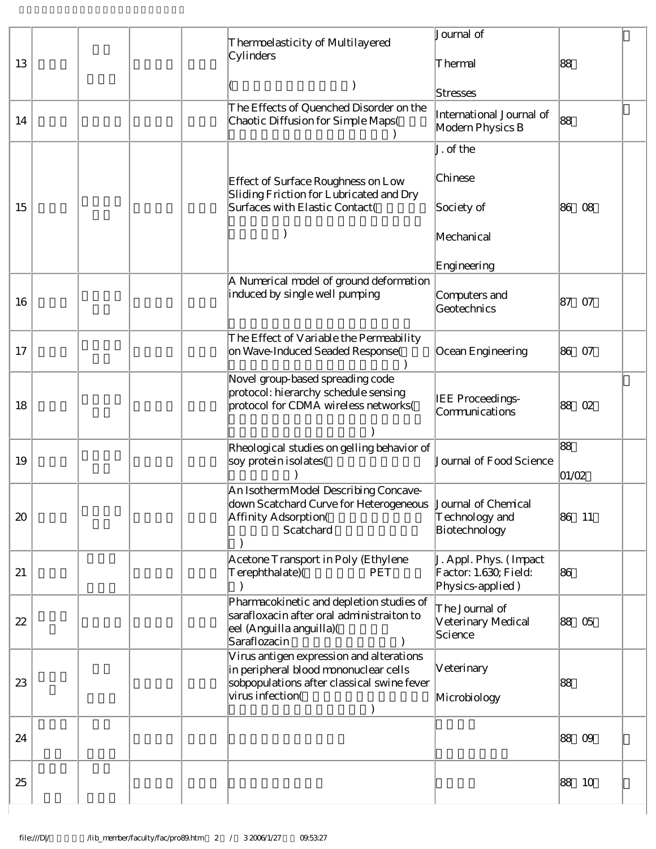|    | Thermoelasticity of Multilayered                                                                                                                    | Journal of                                                          |                     |  |
|----|-----------------------------------------------------------------------------------------------------------------------------------------------------|---------------------------------------------------------------------|---------------------|--|
| 13 | Cylinders                                                                                                                                           | Thermal                                                             | 88                  |  |
|    |                                                                                                                                                     | Stresses                                                            |                     |  |
| 14 | The Effects of Quenched Disorder on the<br>Chaotic Diffusion for Simple Maps(                                                                       | International Journal of<br>Modern Physics B                        | 88                  |  |
|    |                                                                                                                                                     | J. of the                                                           |                     |  |
| 15 | Effect of Surface Roughness on Low<br>Sliding Friction for Lubricated and Dry<br>Surfaces with Elastic Contact(                                     | Chinese<br>Society of                                               | 86<br>08            |  |
|    |                                                                                                                                                     | Mechanical                                                          |                     |  |
|    |                                                                                                                                                     | Engineering                                                         |                     |  |
| 16 | A Numerical model of ground deformation<br>induced by single well pumping                                                                           | Computers and<br>Geotechnics                                        | 87<br>07            |  |
| 17 | The Effect of Variable the Permeability<br>on Wave-Induced Seaded Response(                                                                         | Ocean Engineering                                                   | 86<br>07            |  |
| 18 | Novel group-based spreading code<br>protocol: hierarchy schedule sensing<br>protocol for CDMA wireless networks(                                    | IEE Proceedings-<br>Communications                                  | 88<br>02            |  |
| 19 | Rheological studies on gelling behavior of<br>soy protein isolates(                                                                                 | Journal of Food Science                                             | 88<br>01/02         |  |
| 20 | An Isotherm Model Describing Concave-<br>down Scatchard Curve for Heterogeneous  Journal of Chemical<br>Affinity Adsorption(<br>Scatchard           | Technology and<br>Biotechnology                                     | 86<br><sup>11</sup> |  |
| 21 | Acetone Transport in Poly (Ethylene<br>Terephthalate)(<br>PET                                                                                       | J. Appl. Phys. (Impact<br>Factor: 1.630, Field:<br>Physics-applied) | 86                  |  |
| 22 | Pharmacokinetic and depletion studies of<br>sarafloxacin after oral administraiton to<br>eel (Anguilla anguilla)(<br>Saraflozacin                   | The Journal of<br>Veterinary Medical<br>Science                     | 88 05               |  |
| 23 | Virus antigen expression and alterations<br>in peripheral blood mononuclear cells<br>sobpopulations after classical swine fever<br>virus infection( | Veterinary<br>Microbiology                                          | 88                  |  |
| 24 |                                                                                                                                                     |                                                                     | 88<br>09            |  |
| 25 |                                                                                                                                                     |                                                                     | 88<br>- 10          |  |

J.